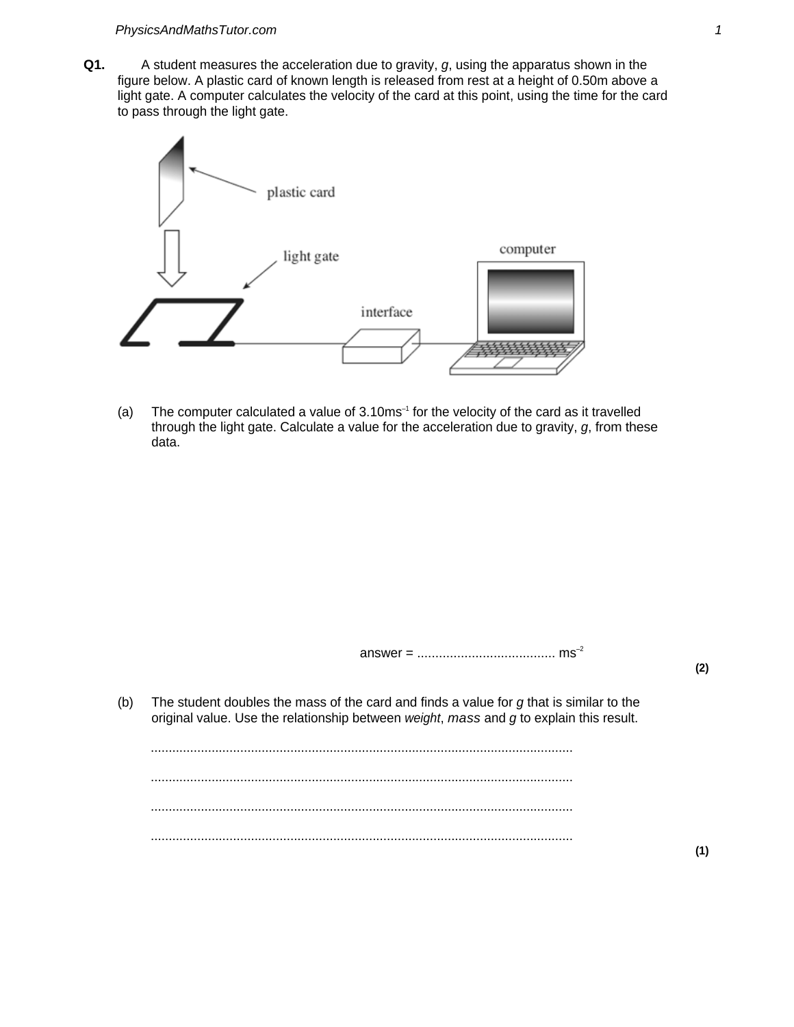**Q1.** A student measures the acceleration due to gravity, g, using the apparatus shown in the figure below. A plastic card of known length is released from rest at a height of 0.50m above a light gate. A computer calculates the velocity of the card at this point, using the time for the card to pass through the light gate.



(a) The computer calculated a value of  $3.10 \text{ms}^{-1}$  for the velocity of the card as it travelled through the light gate. Calculate a value for the acceleration due to gravity,  $g$ , from these data.

answer = ...................................... ms–2

(b) The student doubles the mass of the card and finds a value for  $g$  that is similar to the original value. Use the relationship between weight, mass and  $g$  to explain this result.

...................................................................................................................... ...................................................................................................................... ...................................................................................................................... ......................................................................................................................

**(2)**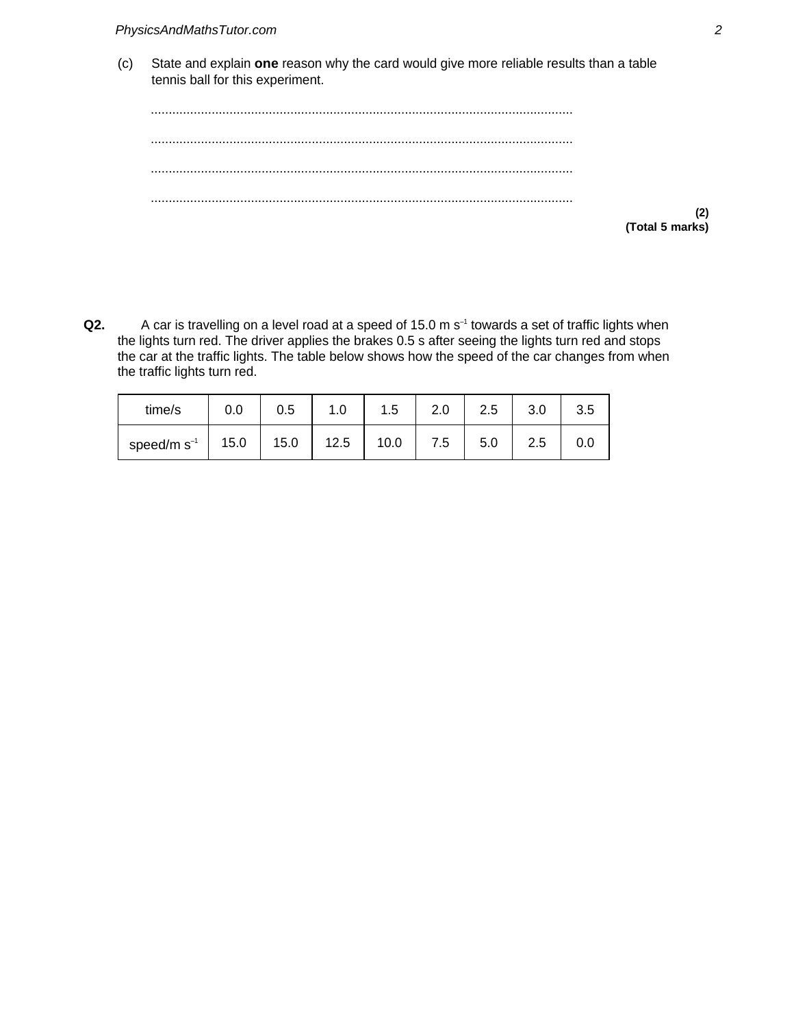(c) State and explain **one** reason why the card would give more reliable results than a table tennis ball for this experiment.

...................................................................................................................... ...................................................................................................................... ...................................................................................................................... ......................................................................................................................

**(Total 5 marks)**

**(2)**

Q2. A car is travelling on a level road at a speed of 15.0 m s<sup>-1</sup> towards a set of traffic lights when the lights turn red. The driver applies the brakes 0.5 s after seeing the lights turn red and stops the car at the traffic lights. The table below shows how the speed of the car changes from when the traffic lights turn red.

| time/s           | 0.0  | 0.5  | 1.0  | 1.5  | 2.0 | 2.5 | 3.0 | 3.5 |
|------------------|------|------|------|------|-----|-----|-----|-----|
| speed/m $s^{-1}$ | 15.0 | 15.0 | 12.5 | 10.0 | 7.5 | 5.0 | 2.5 |     |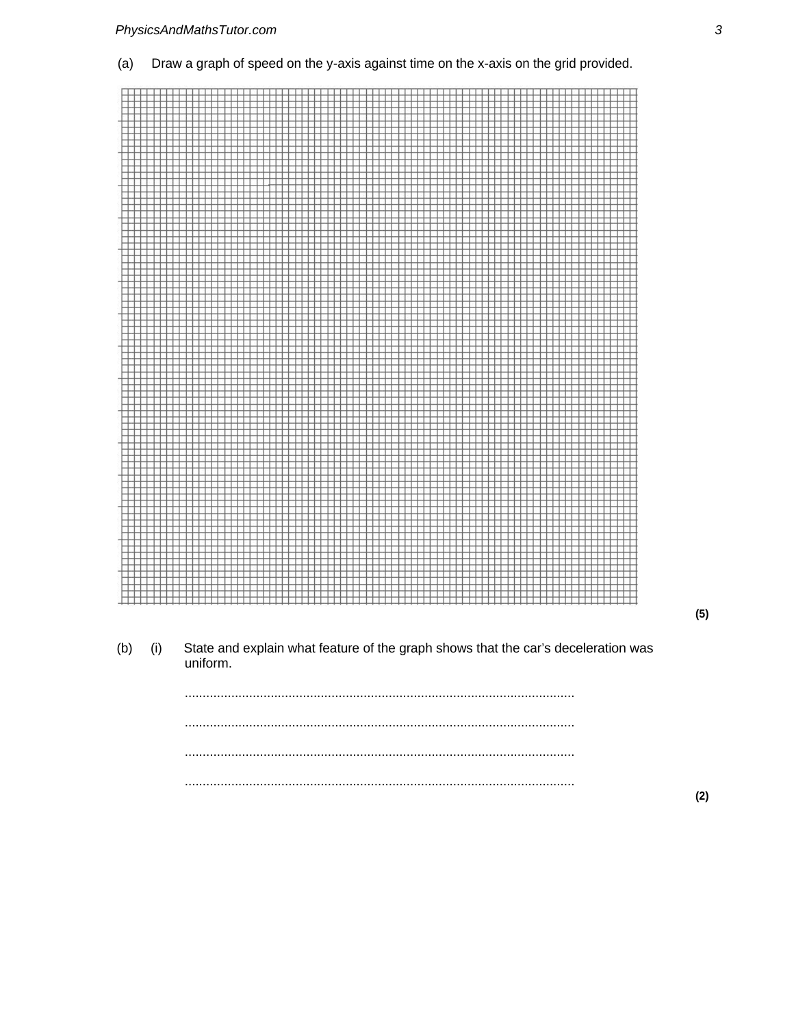





 $(5)$ 

 $(2)$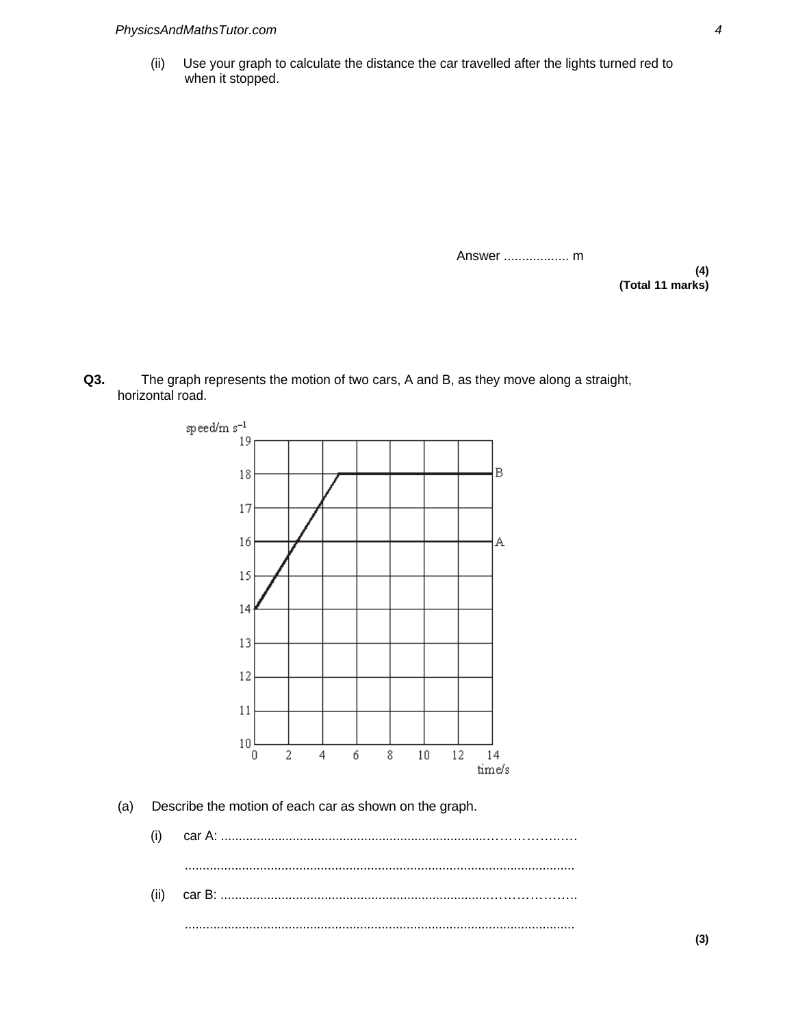(ii) Use your graph to calculate the distance the car travelled after the lights turned red to when it stopped.

Answer .................. m

**(4) (Total 11 marks)**

**Q3.** The graph represents the motion of two cars, A and B, as they move along a straight, horizontal road.



(ii) car B: ...........................................................................………………..

.............................................................................................................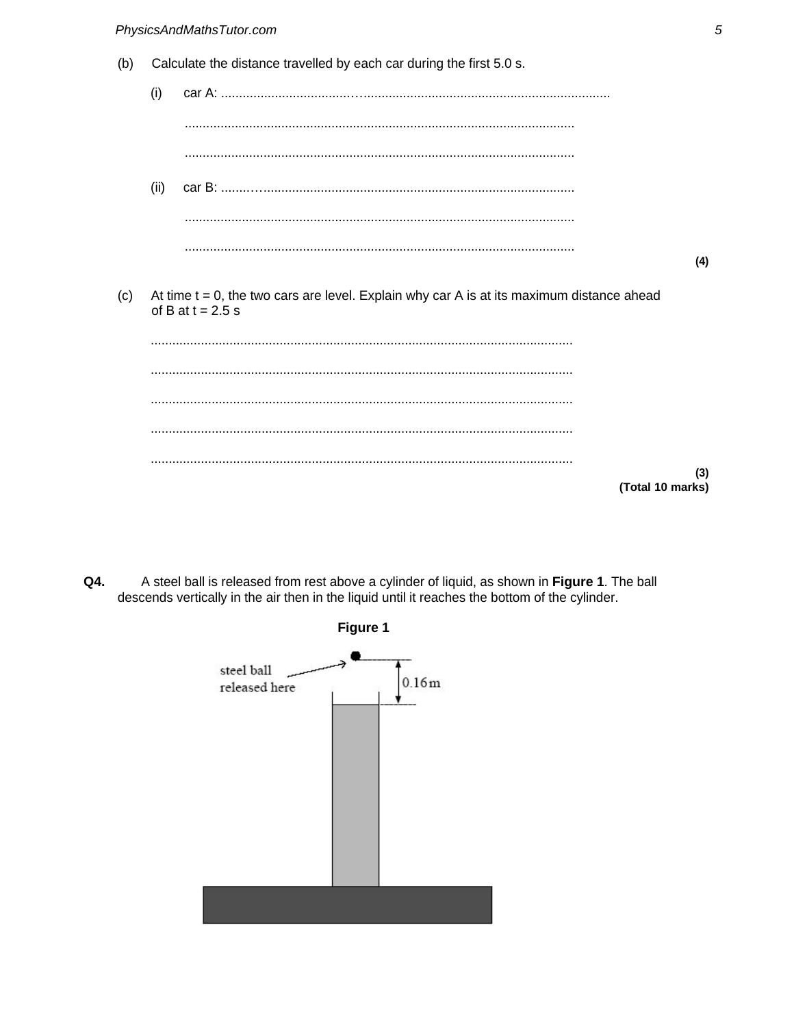Calculate the distance travelled by each car during the first 5.0 s.  $(b)$ 



 $(c)$ At time  $t = 0$ , the two cars are level. Explain why car A is at its maximum distance ahead of B at  $t = 2.5$  s

 $(3)$ (Total 10 marks)

A steel ball is released from rest above a cylinder of liquid, as shown in Figure 1. The ball Q4. descends vertically in the air then in the liquid until it reaches the bottom of the cylinder.

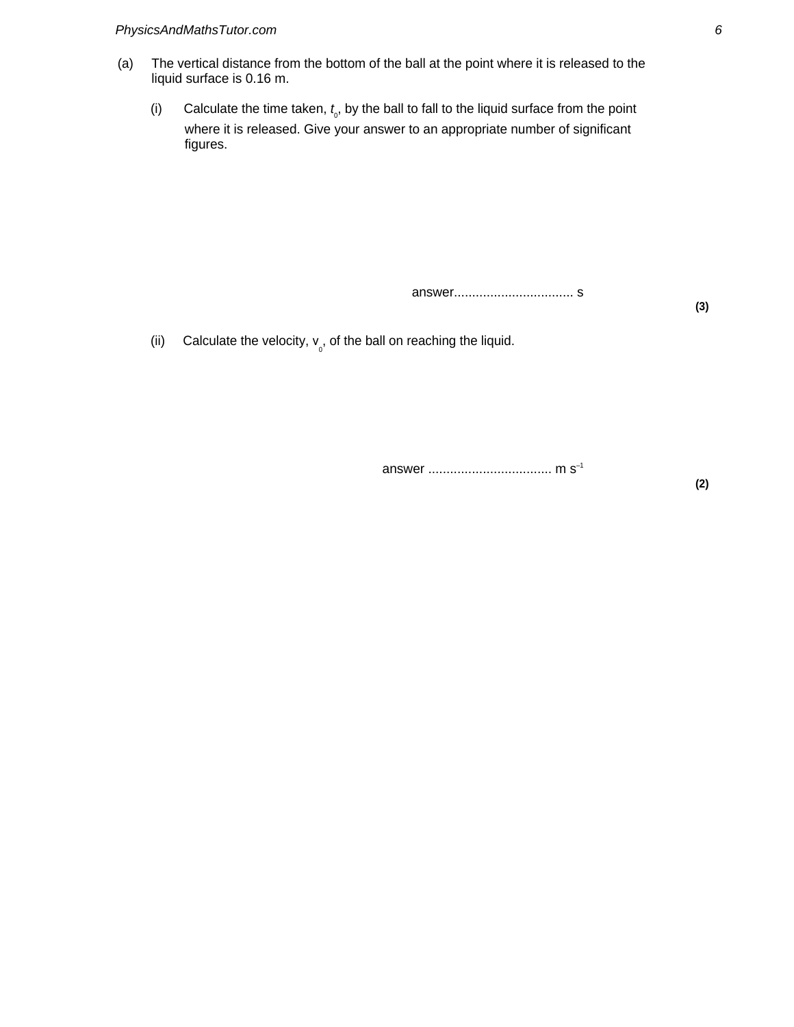- (a) The vertical distance from the bottom of the ball at the point where it is released to the liquid surface is 0.16 m.
	- (i) Calculate the time taken,  $t_o$ , by the ball to fall to the liquid surface from the point where it is released. Give your answer to an appropriate number of significant figures.

answer................................. s

(ii) Calculate the velocity,  $v_{0}$ , of the ball on reaching the liquid.

answer .................................. m s–1

**(2)**

**(3)**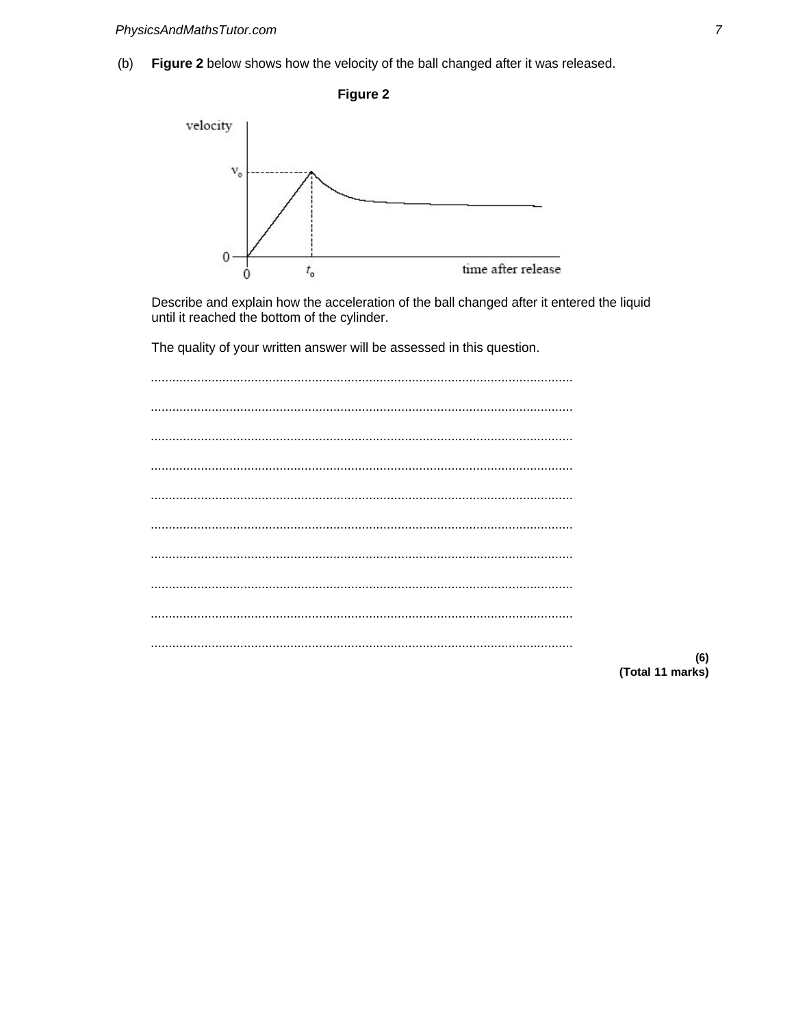Figure 2 below shows how the velocity of the ball changed after it was released.  $(b)$ 

Figure 2



Describe and explain how the acceleration of the ball changed after it entered the liquid until it reached the bottom of the cylinder.

The quality of your written answer will be assessed in this question.

 $(6)$ (Total 11 marks)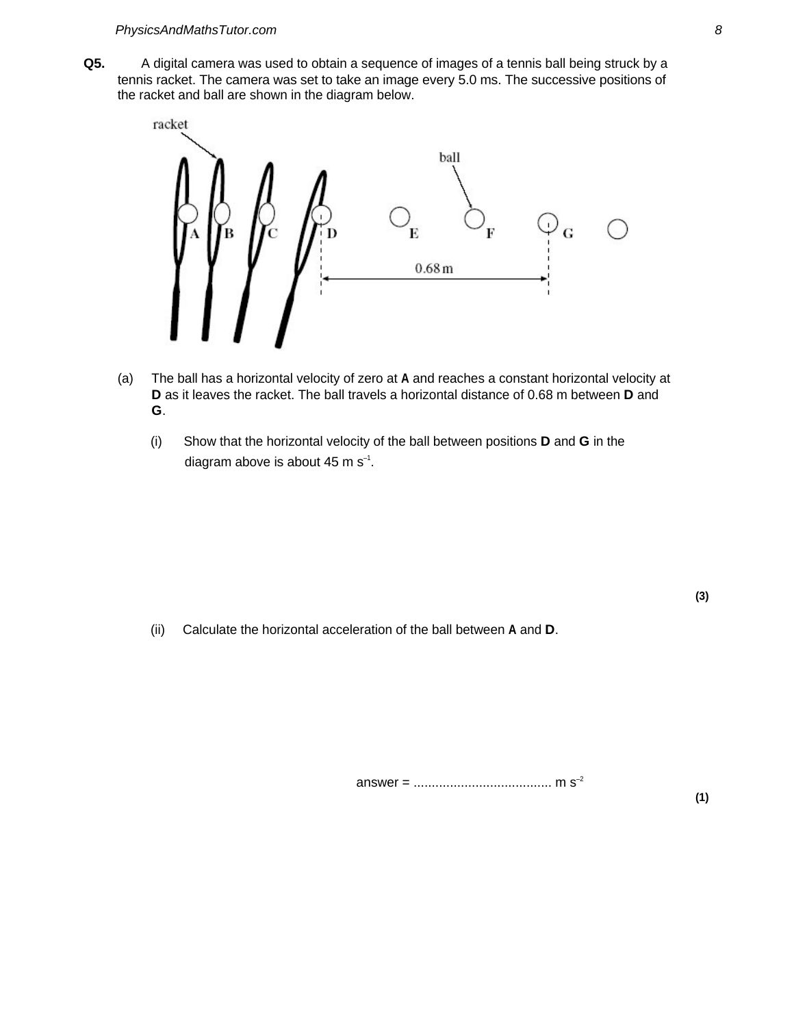**Q5.** A digital camera was used to obtain a sequence of images of a tennis ball being struck by a tennis racket. The camera was set to take an image every 5.0 ms. The successive positions of the racket and ball are shown in the diagram below.



- (a) The ball has a horizontal velocity of zero at **A** and reaches a constant horizontal velocity at **D** as it leaves the racket. The ball travels a horizontal distance of 0.68 m between **D** and **G**.
	- (i) Show that the horizontal velocity of the ball between positions **D** and **G** in the diagram above is about 45 m  $s^{-1}$ .

(ii) Calculate the horizontal acceleration of the ball between **A** and **D**.

**(3)**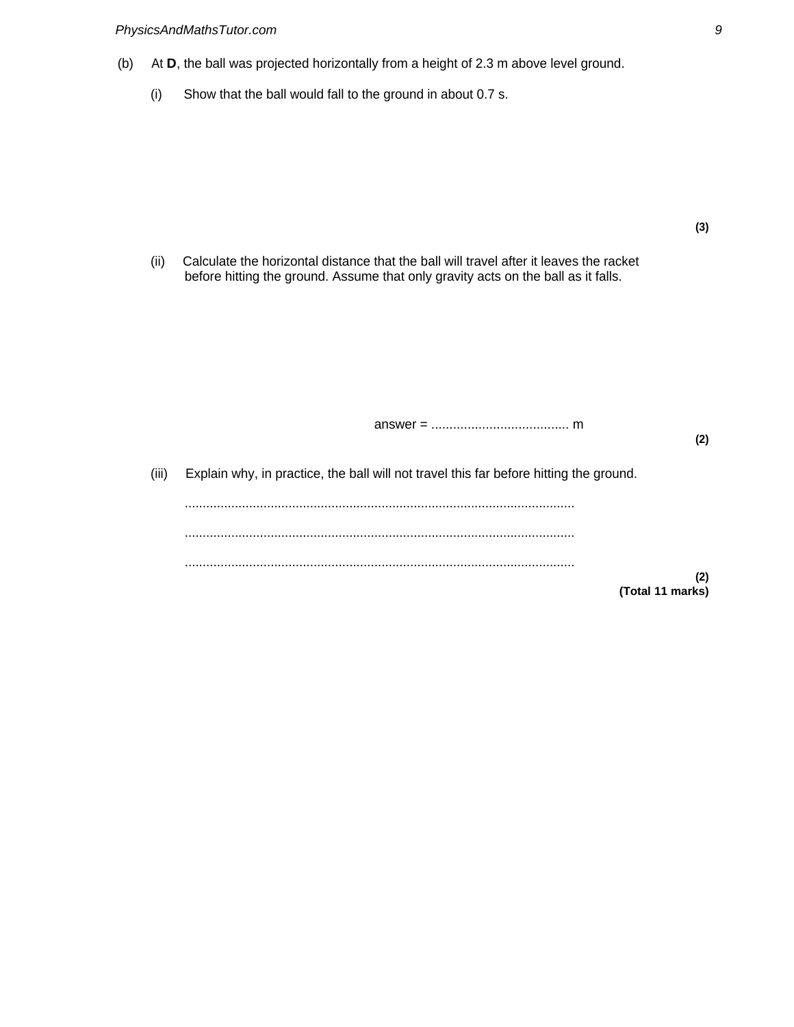- (b) At **D**, the ball was projected horizontally from a height of 2.3 m above level ground.
	- (i) Show that the ball would fall to the ground in about 0.7 s.

(ii) Calculate the horizontal distance that the ball will travel after it leaves the racket before hitting the ground. Assume that only gravity acts on the ball as it falls.

(iii) Explain why, in practice, the ball will not travel this far before hitting the ground. ............................................................................................................. ............................................................................................................. ............................................................................................................. **(2) (Total 11 marks)**

answer = ...................................... m

**(2)**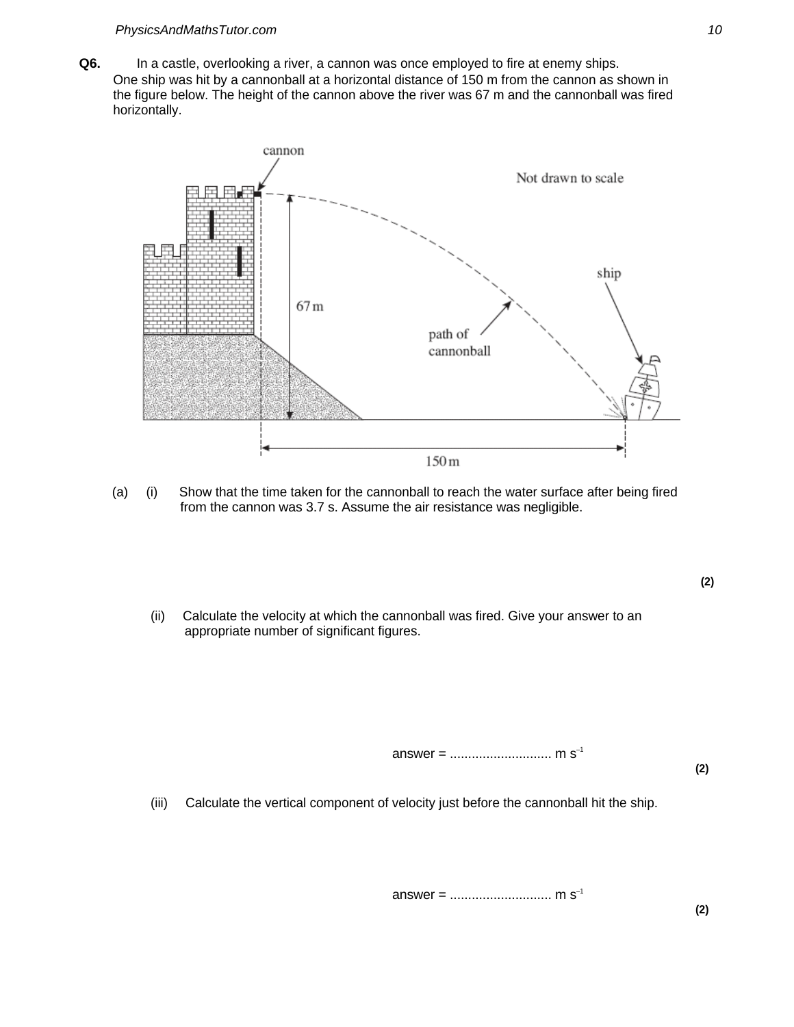**Q6.** In a castle, overlooking a river, a cannon was once employed to fire at enemy ships. One ship was hit by a cannonball at a horizontal distance of 150 m from the cannon as shown in the figure below. The height of the cannon above the river was 67 m and the cannonball was fired horizontally.



- (a) (i) Show that the time taken for the cannonball to reach the water surface after being fired from the cannon was 3.7 s. Assume the air resistance was negligible.
	- (ii) Calculate the velocity at which the cannonball was fired. Give your answer to an appropriate number of significant figures.

answer = ............................ m s–1

**(2)**

**(2)**

(iii) Calculate the vertical component of velocity just before the cannonball hit the ship.

answer = ............................ m s–1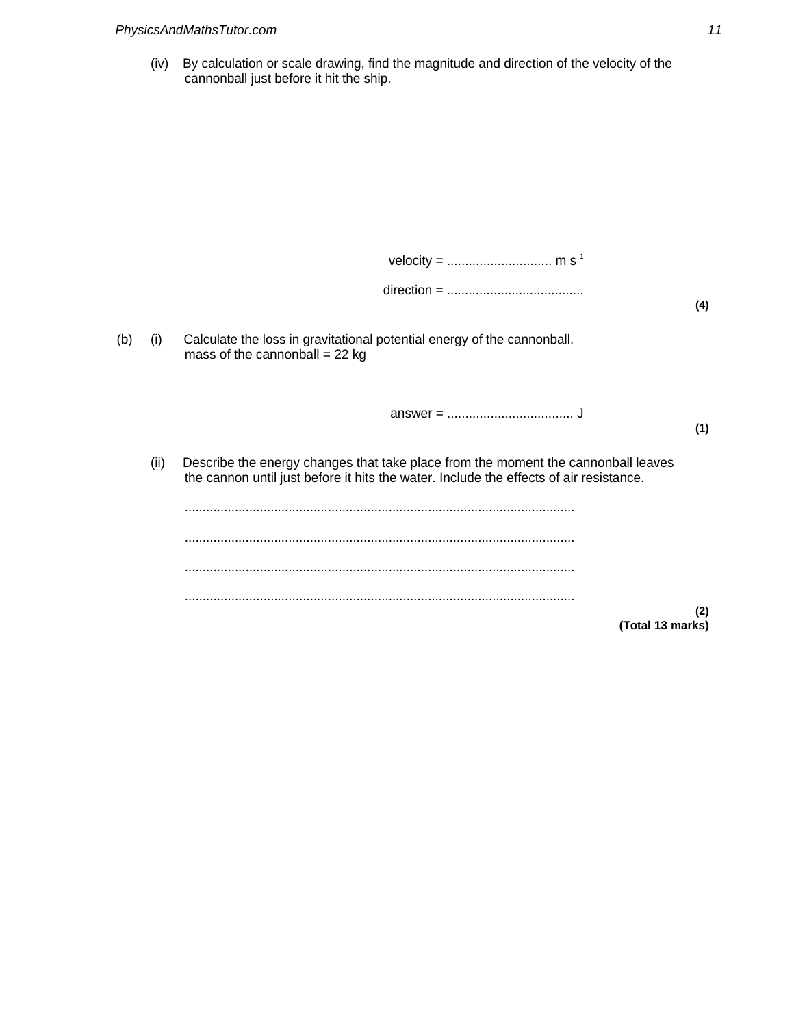(iv) By calculation or scale drawing, find the magnitude and direction of the velocity of the cannonball just before it hit the ship.

|     |      |                                                                                                                                                                             | (4) |
|-----|------|-----------------------------------------------------------------------------------------------------------------------------------------------------------------------------|-----|
| (b) | (i)  | Calculate the loss in gravitational potential energy of the cannonball.<br>mass of the cannonball = $22$ kg                                                                 |     |
|     |      |                                                                                                                                                                             | (1) |
|     | (ii) | Describe the energy changes that take place from the moment the cannonball leaves<br>the cannon until just before it hits the water. Include the effects of air resistance. |     |
|     |      |                                                                                                                                                                             |     |
|     |      |                                                                                                                                                                             |     |
|     |      | (Total 13 marks)                                                                                                                                                            | (2) |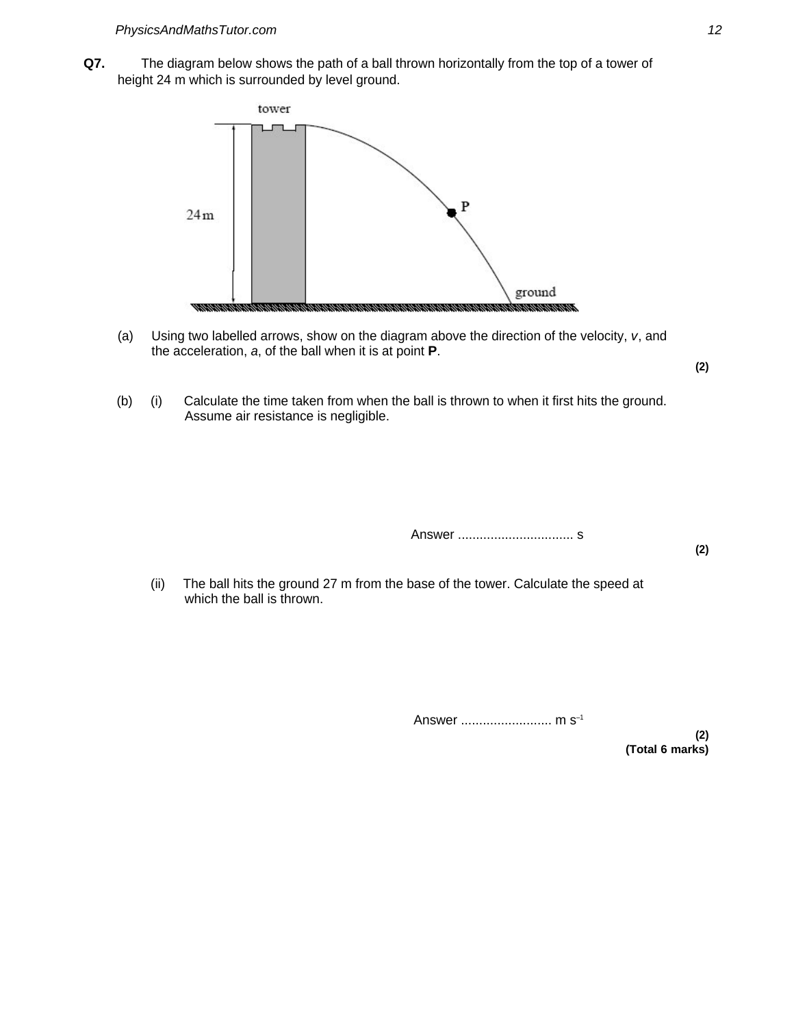**Q7.** The diagram below shows the path of a ball thrown horizontally from the top of a tower of height 24 m which is surrounded by level ground.



(a) Using two labelled arrows, show on the diagram above the direction of the velocity, v, and the acceleration, a, of the ball when it is at point **P**.

**(2)**

(b) (i) Calculate the time taken from when the ball is thrown to when it first hits the ground. Assume air resistance is negligible.

Answer ................................ s

**(2)**

(ii) The ball hits the ground 27 m from the base of the tower. Calculate the speed at which the ball is thrown.

Answer ......................... m s–1

**(2) (Total 6 marks)**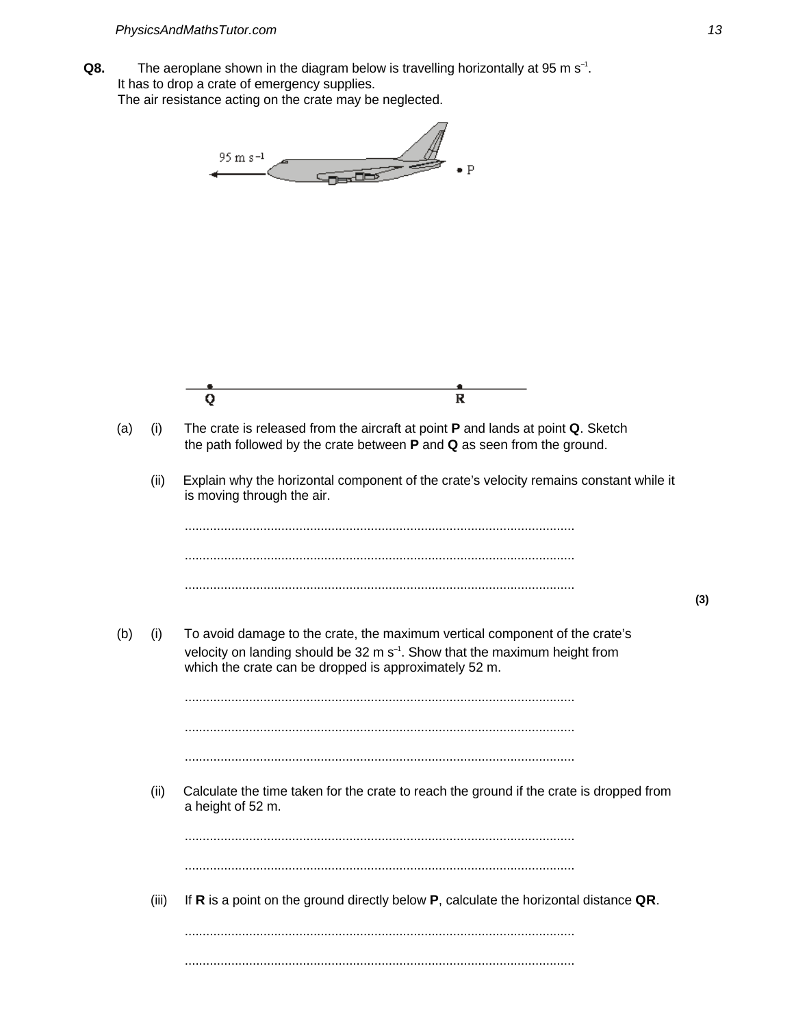Q8. The aeroplane shown in the diagram below is travelling horizontally at 95 m s<sup>-1</sup>. It has to drop a crate of emergency supplies. The air resistance acting on the crate may be neglected.

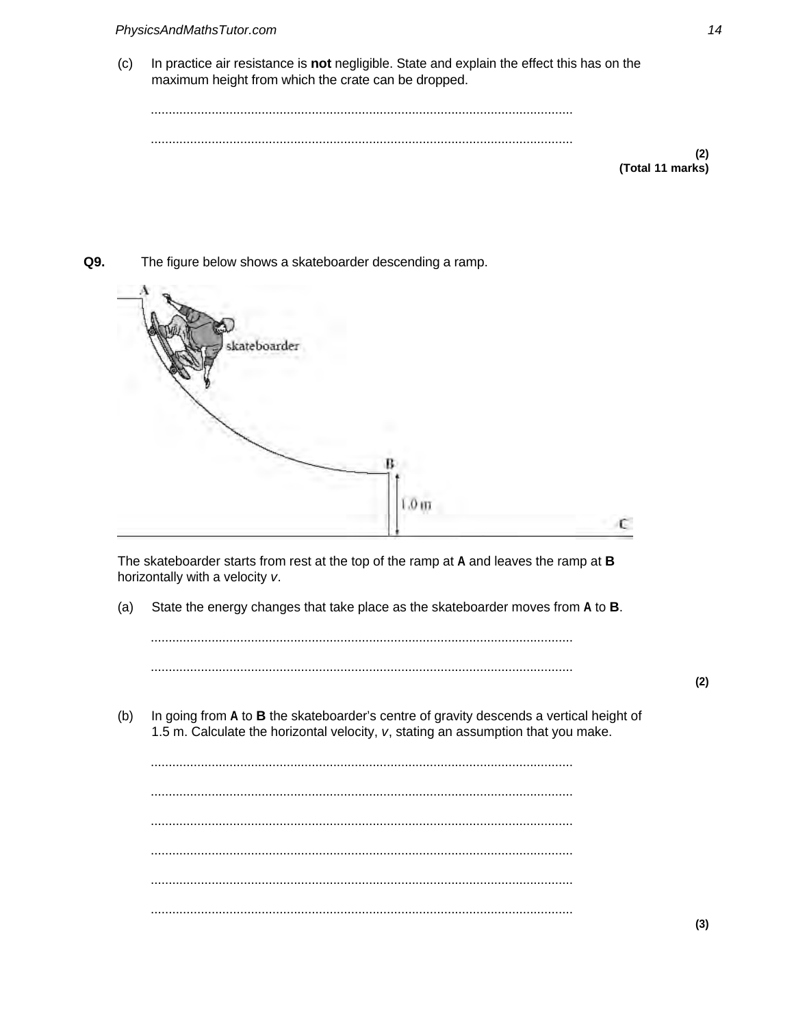$(c)$ In practice air resistance is not negligible. State and explain the effect this has on the maximum height from which the crate can be dropped.

 $(2)$ 

(Total 11 marks)

Q9. The figure below shows a skateboarder descending a ramp.



The skateboarder starts from rest at the top of the ramp at  $A$  and leaves the ramp at  $B$ horizontally with a velocity v.

 $(a)$ State the energy changes that take place as the skateboarder moves from A to B.

 $(b)$ In going from A to B the skateboarder's centre of gravity descends a vertical height of 1.5 m. Calculate the horizontal velocity, v, stating an assumption that you make.

> 

 $(2)$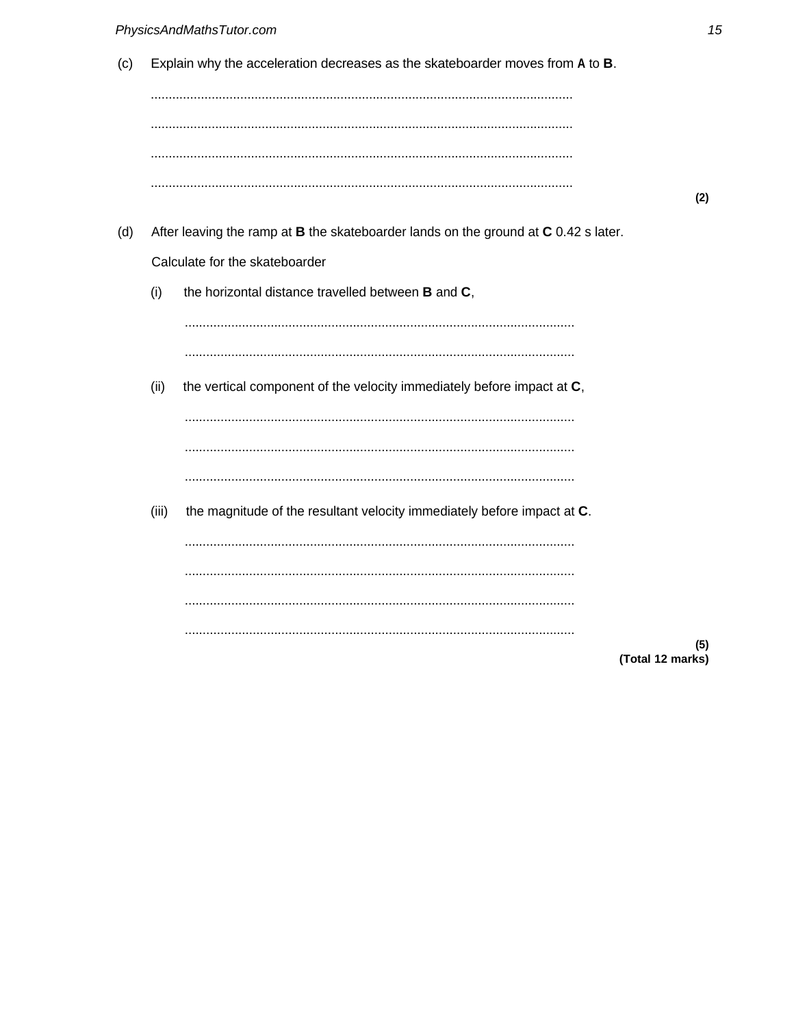|  |  | (c) Explain why the acceleration decreases as the skateboarder moves from A to B. |  |
|--|--|-----------------------------------------------------------------------------------|--|
|  |  |                                                                                   |  |
|  |  |                                                                                   |  |

- After leaving the ramp at B the skateboarder lands on the ground at C 0.42 s later.  $(d)$ Calculate for the skateboarder
	- the horizontal distance travelled between B and C,  $(i)$

 $(ii)$ the vertical component of the velocity immediately before impact at C,  $(iii)$ the magnitude of the resultant velocity immediately before impact at C. 

 $(5)$ (Total 12 marks)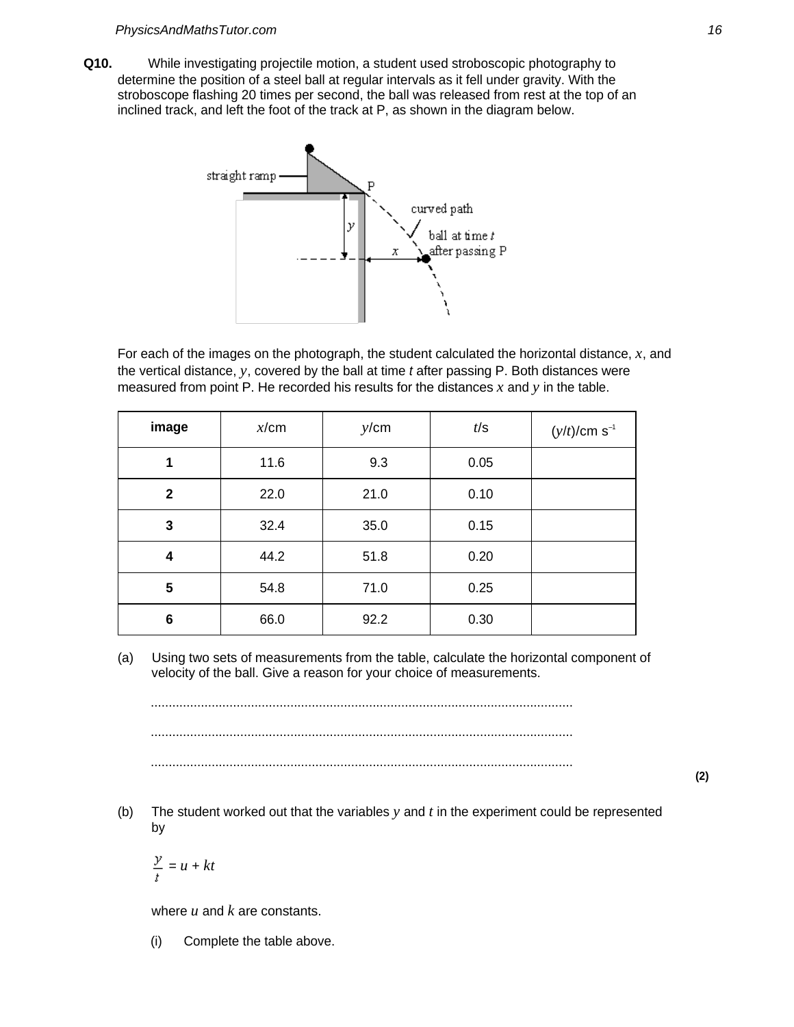**Q10.** While investigating projectile motion, a student used stroboscopic photography to determine the position of a steel ball at regular intervals as it fell under gravity. With the stroboscope flashing 20 times per second, the ball was released from rest at the top of an inclined track, and left the foot of the track at P, as shown in the diagram below.



For each of the images on the photograph, the student calculated the horizontal distance, *x*, and the vertical distance, *y*, covered by the ball at time t after passing P. Both distances were measured from point P. He recorded his results for the distances *x* and *y* in the table.

| image        | x/cm | y/cm | t/s  | $(y/t)/cm s^{-1}$ |
|--------------|------|------|------|-------------------|
| 1            | 11.6 | 9.3  | 0.05 |                   |
| $\mathbf{2}$ | 22.0 | 21.0 | 0.10 |                   |
| 3            | 32.4 | 35.0 | 0.15 |                   |
| 4            | 44.2 | 51.8 | 0.20 |                   |
| 5            | 54.8 | 71.0 | 0.25 |                   |
| 6            | 66.0 | 92.2 | 0.30 |                   |

(a) Using two sets of measurements from the table, calculate the horizontal component of velocity of the ball. Give a reason for your choice of measurements.

...................................................................................................................... ...................................................................................................................... ......................................................................................................................

**(2)**

(b) The student worked out that the variables *y* and *t* in the experiment could be represented by

$$
\frac{y}{t} = u + kt
$$

where *u* and *k* are constants.

(i) Complete the table above.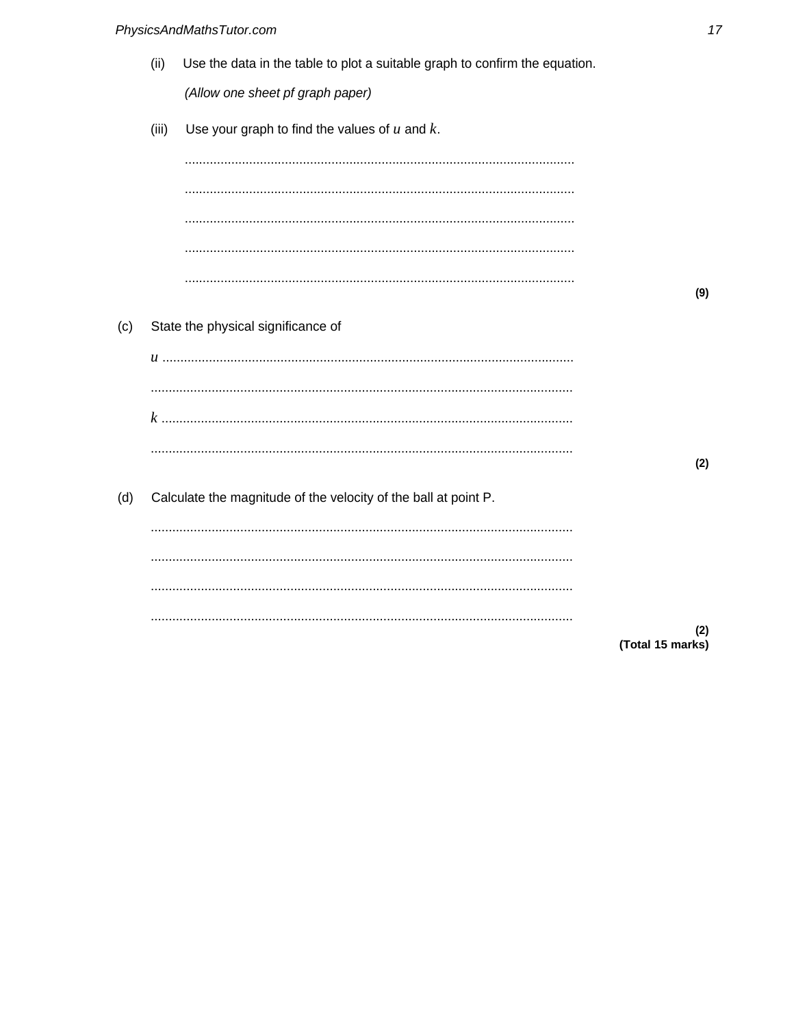(ii) Use the data in the table to plot a suitable graph to confirm the equation. (Allow one sheet pf graph paper)

|     | (iii) | Use your graph to find the values of $u$ and $k$ .              |                  |
|-----|-------|-----------------------------------------------------------------|------------------|
|     |       |                                                                 |                  |
|     |       |                                                                 |                  |
|     |       |                                                                 |                  |
|     |       |                                                                 |                  |
|     |       |                                                                 | (9)              |
| (c) |       | State the physical significance of                              |                  |
|     |       | u ………………………………………………………………………………………                             |                  |
|     |       |                                                                 |                  |
|     |       |                                                                 |                  |
|     |       |                                                                 | (2)              |
| (d) |       | Calculate the magnitude of the velocity of the ball at point P. |                  |
|     |       |                                                                 |                  |
|     |       |                                                                 |                  |
|     |       |                                                                 |                  |
|     |       |                                                                 | (2)              |
|     |       |                                                                 | (Total 15 marks) |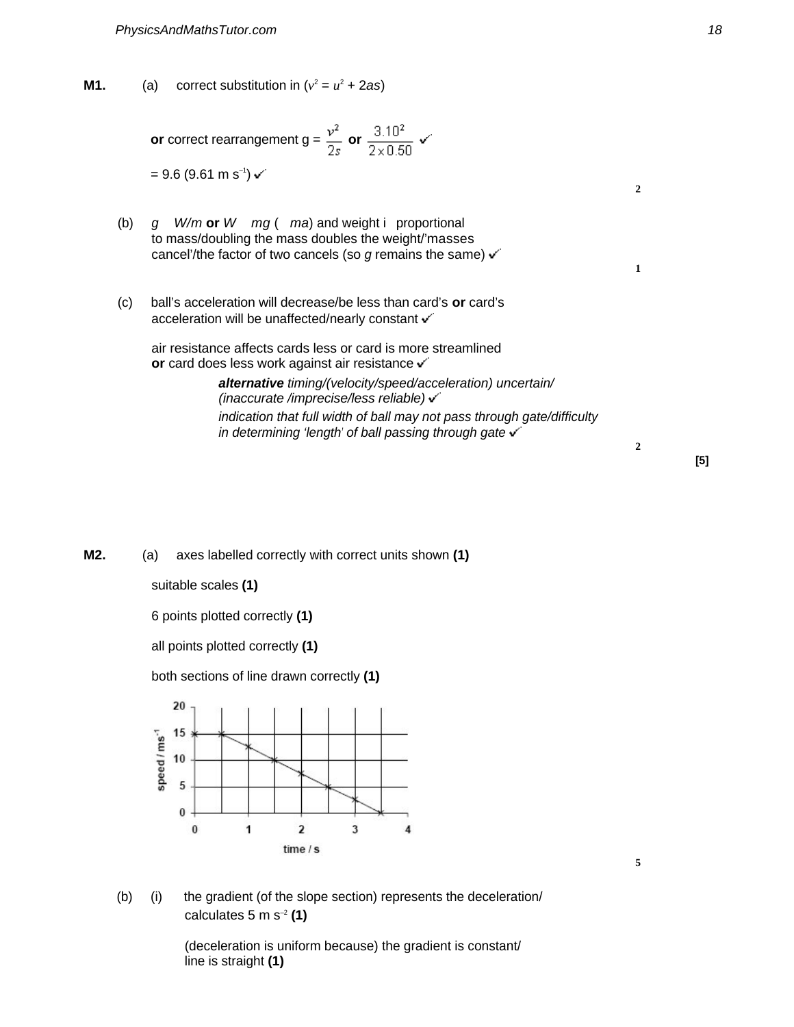**M1.** (a) correct substitution in  $(v^2 = u^2 + 2as)$ 

**or** correct rearrangement  $g = \frac{v^2}{2s}$  **or**  $\frac{3.10^2}{2 \times 0.50}$   $\checkmark$  $= 9.6$  ( $9.61 \text{ m s}^{-1}$ )  $\cdot$ 

- (b) <sup>g</sup> W/m **or** W mg ( ma) and weight i proportional to mass/doubling the mass doubles the weight/'masses cancel'/the factor of two cancels (so g remains the same)  $\checkmark$
- (c) ball's acceleration will decrease/be less than card's **or** card's acceleration will be unaffected/nearly constant v

air resistance affects cards less or card is more streamlined **or** card does less work against air resistance v

> **alternative** timing/(velocity/speed/acceleration) uncertain/ (inaccurate /imprecise/less reliable) indication that full width of ball may not pass through gate/difficulty in determining 'length' of ball passing through gate  $\checkmark$

> > **[5]**

**M2.** (a) axes labelled correctly with correct units shown **(1)**

suitable scales **(1)**

6 points plotted correctly **(1)**

all points plotted correctly **(1)**

both sections of line drawn correctly **(1)**



- **5**
- (b) (i) the gradient (of the slope section) represents the deceleration/ calculates 5 m s–2 **(1)**

(deceleration is uniform because) the gradient is constant/ line is straight **(1)**

**2**

**1**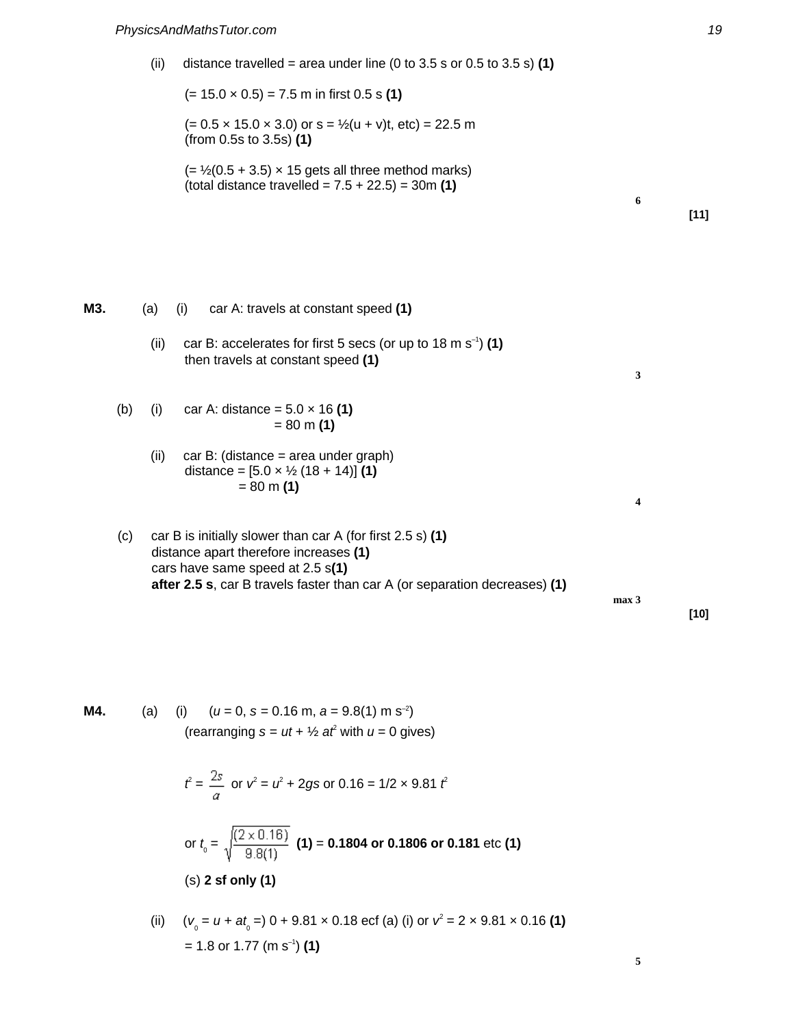(ii) distance travelled = area under line  $(0 \text{ to } 3.5 \text{ s or } 0.5 \text{ to } 3.5 \text{ s})$  (1) (= 15.0 × 0.5) = 7.5 m in first 0.5 s **(1)**  $(= 0.5 \times 15.0 \times 3.0)$  or s =  $\frac{1}{2}(u + v)t$ , etc) = 22.5 m (from 0.5s to 3.5s) **(1)**  $(=\frac{1}{2}(0.5 + 3.5) \times 15$  gets all three method marks) (total distance travelled = 7.5 + 22.5) = 30m **(1) 6 [11] M3.** (a) (i) car A: travels at constant speed **(1)** (ii) car B: accelerates for first 5 secs (or up to  $18 \text{ m s}^{-1}$ ) (1) then travels at constant speed **(1) 3** (b) (i) car A: distance = 5.0 × 16 **(1)**  $= 80 \text{ m} (1)$ (ii) car B: (distance = area under graph) distance = [5.0 × ½ (18 + 14)] **(1)**  $= 80 \text{ m (1)}$ **4** (c) car B is initially slower than car A (for first 2.5 s) **(1)** distance apart therefore increases **(1)** cars have same speed at 2.5 s**(1) after 2.5 s**, car B travels faster than car A (or separation decreases) **(1) max 3 [10]**

**M4.** (a) (i)  $(u = 0, s = 0.16 \text{ m}, a = 9.8(1) \text{ m s}^{-2})$ (rearranging  $s = ut + \frac{1}{2} a t^2$  with  $u = 0$  gives)

$$
\hat{t} = \frac{2s}{a} \text{ or } v^2 = u^2 + 2gs \text{ or } 0.16 = 1/2 \times 9.81 \text{ ft}
$$

or 
$$
t_0 = \sqrt{\frac{(2 \times 0.16)}{9.8(1)}}
$$
 (1) = 0.1804 or 0.1806 or 0.181 etc (1)  
(s) 2 sf only (1)

(ii) 
$$
(v_0 = u + at_0 =) 0 + 9.81 \times 0.18 \text{ ecf (a) (i) or } v^2 = 2 \times 9.81 \times 0.16 \text{ (1)}
$$
  
= 1.8 or 1.77 (m s<sup>-1</sup>) (1)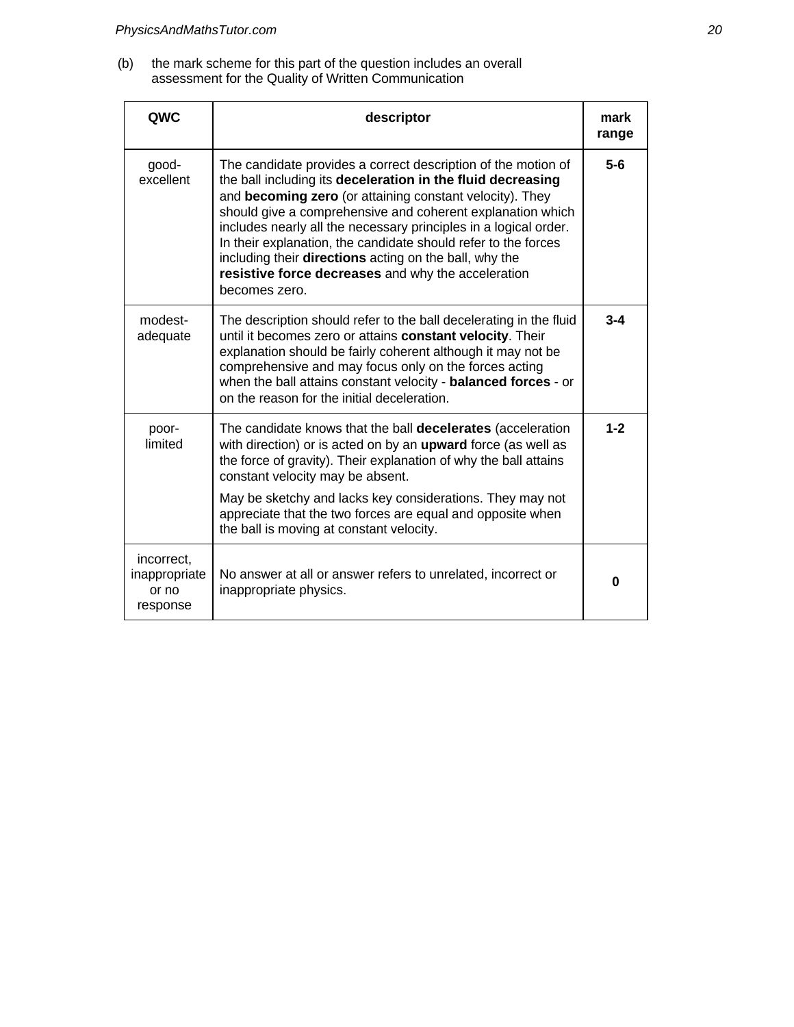(b) the mark scheme for this part of the question includes an overall assessment for the Quality of Written Communication

| QWC                                              | descriptor                                                                                                                                                                                                                                                                                                                                                                                                                                                                                                                    | mark<br>range |
|--------------------------------------------------|-------------------------------------------------------------------------------------------------------------------------------------------------------------------------------------------------------------------------------------------------------------------------------------------------------------------------------------------------------------------------------------------------------------------------------------------------------------------------------------------------------------------------------|---------------|
| good-<br>excellent                               | The candidate provides a correct description of the motion of<br>the ball including its deceleration in the fluid decreasing<br>and becoming zero (or attaining constant velocity). They<br>should give a comprehensive and coherent explanation which<br>includes nearly all the necessary principles in a logical order.<br>In their explanation, the candidate should refer to the forces<br>including their directions acting on the ball, why the<br>resistive force decreases and why the acceleration<br>becomes zero. | $5-6$         |
| modest-<br>adequate                              | The description should refer to the ball decelerating in the fluid<br>until it becomes zero or attains <b>constant velocity</b> . Their<br>explanation should be fairly coherent although it may not be<br>comprehensive and may focus only on the forces acting<br>when the ball attains constant velocity - balanced forces - or<br>on the reason for the initial deceleration.                                                                                                                                             | $3 - 4$       |
| poor-<br>limited                                 | The candidate knows that the ball decelerates (acceleration<br>with direction) or is acted on by an <b>upward</b> force (as well as<br>the force of gravity). Their explanation of why the ball attains<br>constant velocity may be absent.<br>May be sketchy and lacks key considerations. They may not<br>appreciate that the two forces are equal and opposite when<br>the ball is moving at constant velocity.                                                                                                            | $1 - 2$       |
| incorrect,<br>inappropriate<br>or no<br>response | No answer at all or answer refers to unrelated, incorrect or<br>inappropriate physics.                                                                                                                                                                                                                                                                                                                                                                                                                                        | 0             |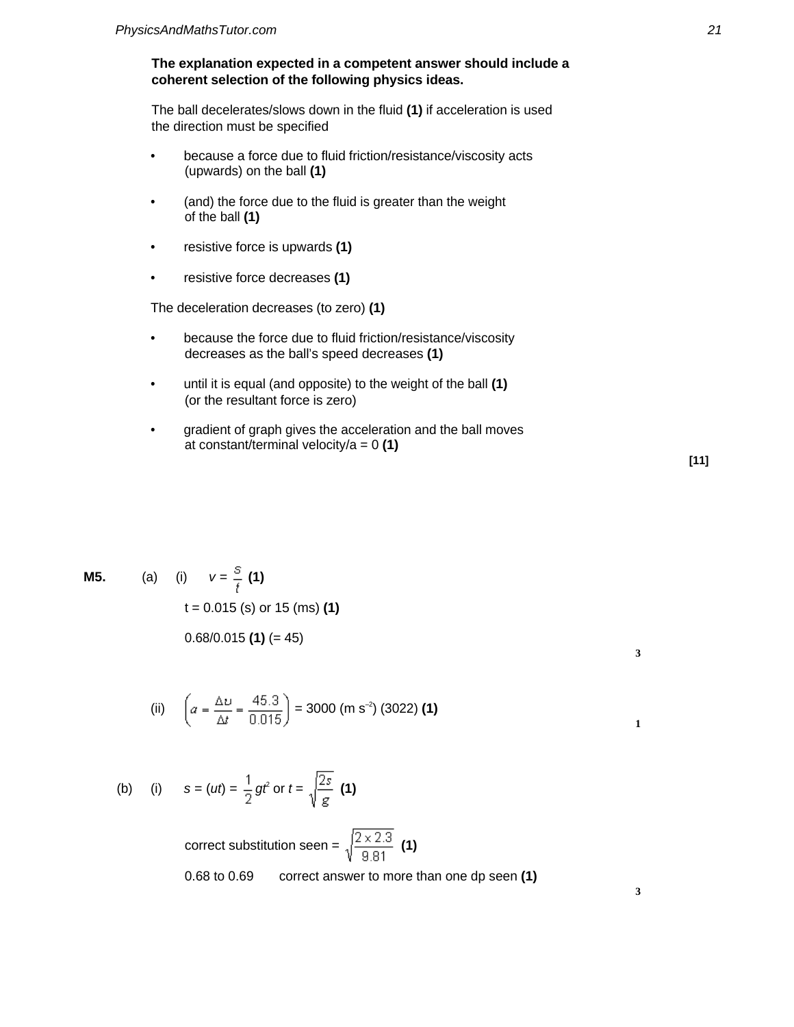# **The explanation expected in a competent answer should include a coherent selection of the following physics ideas.**

The ball decelerates/slows down in the fluid **(1)** if acceleration is used the direction must be specified

- because a force due to fluid friction/resistance/viscosity acts (upwards) on the ball **(1)**
- (and) the force due to the fluid is greater than the weight of the ball **(1)**
- resistive force is upwards **(1)**
- resistive force decreases **(1)**

The deceleration decreases (to zero) **(1)**

- because the force due to fluid friction/resistance/viscosity decreases as the ball's speed decreases **(1)**
- until it is equal (and opposite) to the weight of the ball **(1)** (or the resultant force is zero)
- gradient of graph gives the acceleration and the ball moves at constant/terminal velocity/a = 0 **(1)**

**M5.** (a) (i) 
$$
v = \frac{S}{t}
$$
 (1)  
\n $t = 0.015$  (s) or 15 (ms) (1)  
\n0.68/0.015 (1) (= 45)

(ii) 
$$
\left(a = \frac{\Delta v}{\Delta t} = \frac{45.3}{0.015}\right) = 3000 \text{ (m s}^{-2} \text{)} (3022) \text{ (1)}
$$

(b) (i) 
$$
s = (ut) = \frac{1}{2}gt^2
$$
 or  $t = \sqrt{\frac{2s}{g}}$  (1)

correct substitution seen =  $\sqrt{\frac{2 \times 2.3}{9.81}}$  (1) 0.68 to 0.69 correct answer to more than one dp seen **(1)**

$$
[11]
$$

**3**

**1**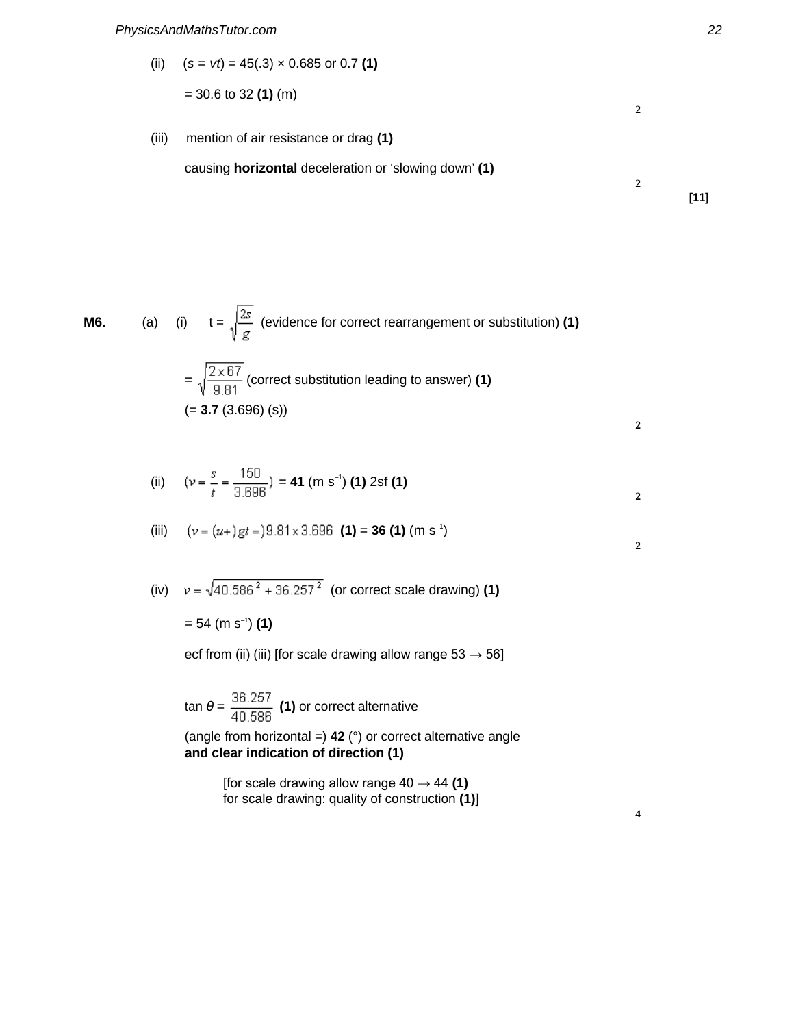(ii)  $(s = vt) = 45(.3) \times 0.685$  or 0.7 (1)

$$
=
$$
 30.6 to 32 (1) (m)

(iii) mention of air resistance or drag **(1)**

causing **horizontal** deceleration or 'slowing down' **(1)**

**M6.** (a) (i) 
$$
t = \sqrt{\frac{2s}{g}}
$$
 (evidence for correct rearrangement or substitution) (1)

$$
= \sqrt{\frac{2 \times 67}{9.81}}
$$
 (correct substitution leading to answer) **(1)**  
(= **3.7** (3.696) (s))

(ii) 
$$
(v = \frac{s}{t} = \frac{150}{3.696}) = 41 \text{ (m s}^{-1)} \text{ (1) 2sf (1)}
$$

(iii) 
$$
(v = (u+)gt = 9.81 \times 3.696 \text{ (1)} = 36 \text{ (1)} \text{ (m s}^{-1})
$$

(iv) 
$$
v = \sqrt{40.586^2 + 36.257^2}
$$
 (or correct scale drawing) (1)

= 54 (m s–1 ) **(1)**

ecf from (ii) (iii) [for scale drawing allow range  $53 \rightarrow 56$ ]

$$
\tan \theta = \frac{36.257}{40.586}
$$
 (1) or correct alternative  
(angle from horizontal =) 42 (°) or correct alternative angle  
and clear indication of direction (1)

[for scale drawing allow range 40 → 44 **(1)** for scale drawing: quality of construction **(1)**] **[11]**

**2**

**2**

**2**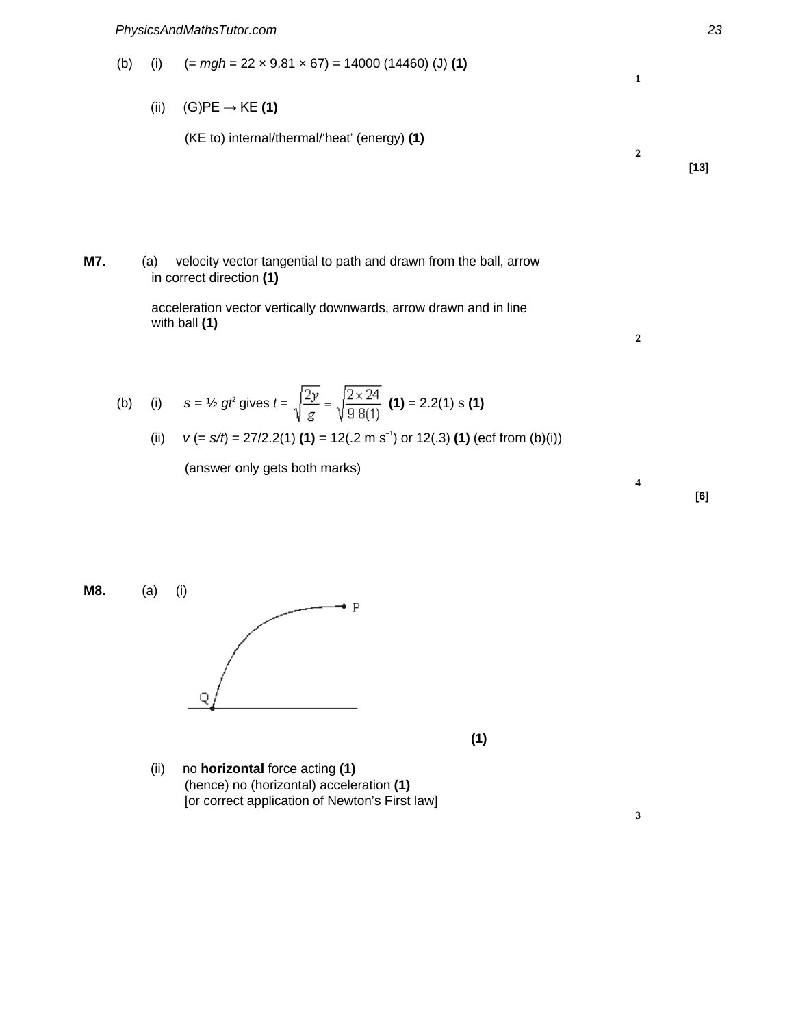(b) (i)  $(= mgh = 22 \times 9.81 \times 67) = 14000 (14460) (J) (1)$ 

(ii) (G)PE → KE **(1)**

(KE to) internal/thermal/'heat' (energy) **(1)**

**M7.** (a) velocity vector tangential to path and drawn from the ball, arrow in correct direction **(1)**

> acceleration vector vertically downwards, arrow drawn and in line with ball **(1)**

(b) (i) 
$$
s = \frac{1}{2}gt
$$
 gives  $t = \sqrt{\frac{2y}{g}} = \sqrt{\frac{2 \times 24}{9.8(1)}}$  (1) = 2.2(1) s (1)

(ii) 
$$
v (= s/t) = 27/2.2(1)
$$
 (1) = 12(.2 m s<sup>-1</sup>) or 12(.3) (1) (ecf from (b)(i))

(answer only gets both marks)

**M8.** (a) (i)  $\overline{P}$ 

**(1)**

(ii) no **horizontal** force acting **(1)** (hence) no (horizontal) acceleration **(1)** [or correct application of Newton's First law]



**[13]**

**1**

**2**

**2**

**4**

**3**

**[6]**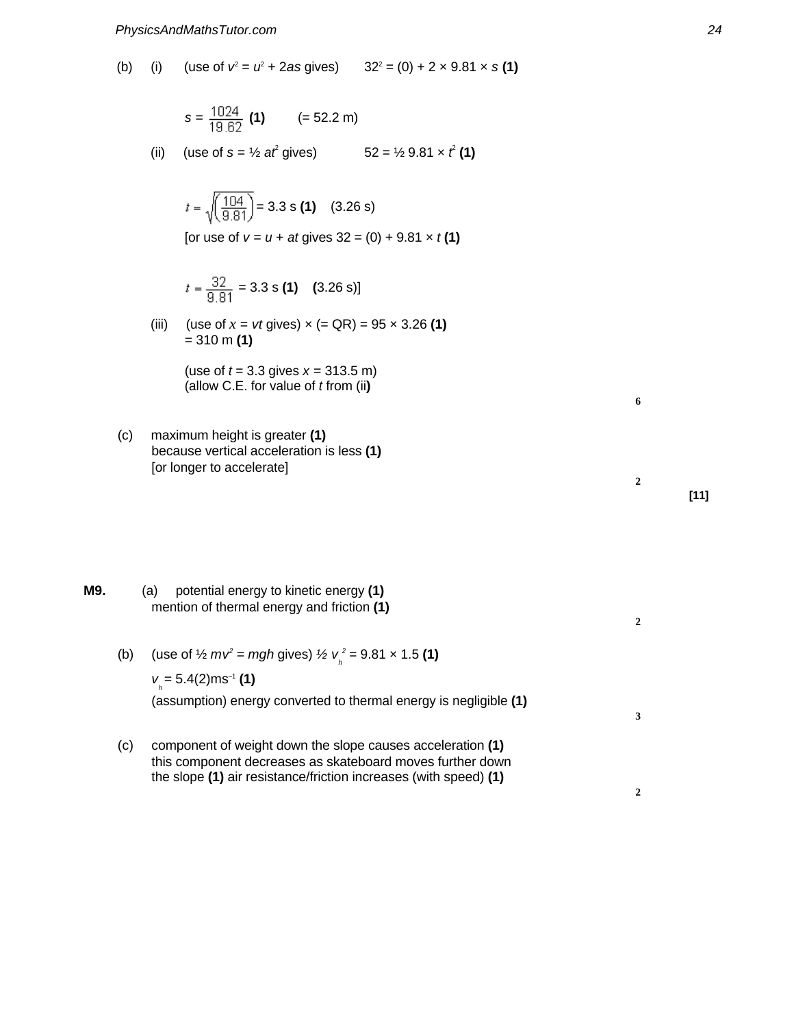(b) (i) (use of  $v^2 = u^2 + 2as$  gives)  $32^2 = (0) + 2 \times 9.81 \times s$  (1)

$$
s = \frac{1024}{19.62}
$$
 (1) (= 52.2 m)

(ii) (use of  $s = \frac{1}{2}$  at gives) gives)  $52 = \frac{1}{2}9.81 \times \hat{t}$  (1)

$$
t = \sqrt{\left(\frac{104}{9.81}\right)} = 3.3 \text{ s (1)} \quad (3.26 \text{ s})
$$

[or use of  $v = u + at$  gives  $32 = (0) + 9.81 \times t(1)$ ]

$$
t = \frac{32}{9.81} = 3.3 \text{ s (1)}
$$
 (3.26 s)]

(iii) (use of  $x = vt$  gives)  $x (= QR) = 95 \times 3.26$  (1) = 310 m **(1)**

> (use of  $t = 3.3$  gives  $x = 313.5$  m) (allow C.E. for value of t from (ii**)**

(c) maximum height is greater **(1)** because vertical acceleration is less **(1)** [or longer to accelerate]

**M9.** (a) potential energy to kinetic energy **(1)** mention of thermal energy and friction **(1)**

- (b) (use of  $\frac{1}{2} m v^2 = mgh$  gives)  $\frac{1}{2} v_h^2 = 9.81 \times 1.5$  (1)  $v_{h} = 5.4(2)$ ms<sup>-1</sup> (1) (assumption) energy converted to thermal energy is negligible **(1)**
- (c) component of weight down the slope causes acceleration **(1)** this component decreases as skateboard moves further down the slope **(1)** air resistance/friction increases (with speed) **(1)**

**[11]**

**6**

**2**

**2**

**3**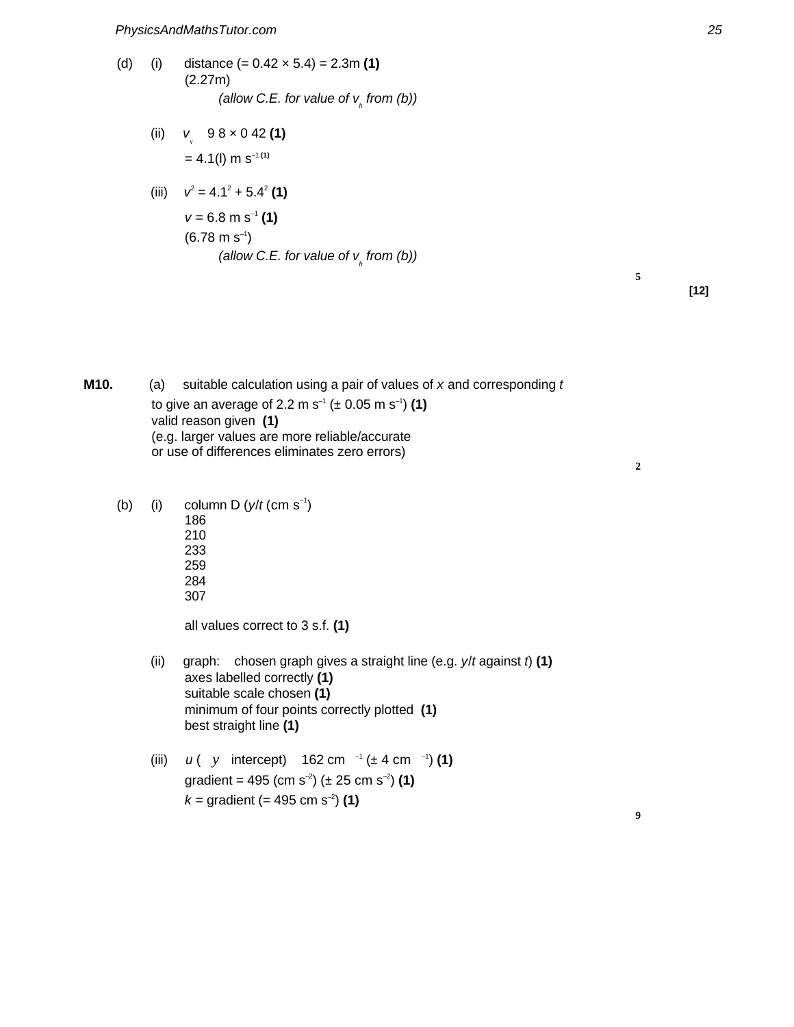- (d) (i) distance (= 0.42 × 5.4) = 2.3m **(1)** (2.27m) (allow C.E. for value of  $v_{h}$  from (b))
	- (ii) v v 9 8 × 0 42 **(1)**  $= 4.1(1)$  m s<sup>-1(1)</sup>

(iii) 
$$
v^2 = 4.1^2 + 5.4^2
$$
**(1)**  
\n $v = 6.8 \text{ m s}^{-1}$ **(1)**  
\n(6.78 m s<sup>-1</sup>)  
\n(*allow C.E. for value of v<sub>h</sub> from (b)*)

**M10.** (a) suitable calculation using a pair of values of x and corresponding t to give an average of 2.2 m s<sup>-1</sup> ( $\pm$  0.05 m s<sup>-1</sup>) (1) valid reason given **(1)** (e.g. larger values are more reliable/accurate or use of differences eliminates zero errors)

(b) (i) column D  $(y/t \text{ (cm s}^{-1}))$ 186 210 233 259 284 307 all values correct to 3 s.f. **(1)** (ii) graph: chosen graph gives a straight line (e.g.  $y/t$  against  $t$ ) (1) axes labelled correctly **(1)** suitable scale chosen **(1)**

best straight line **(1)** (iii)  $u (y \text{ intercept})$  162 cm  $^{-1} (\pm 4 \text{ cm}^{-1})$  (1) gradient = 495 (cm s<sup>-2</sup>) ( $\pm$  25 cm s<sup>-2</sup>) (1)  $k =$  gradient (= 495 cm s<sup>-2</sup>) (1)

minimum of four points correctly plotted **(1)**

**2**

**9**

**5**

**[12]**